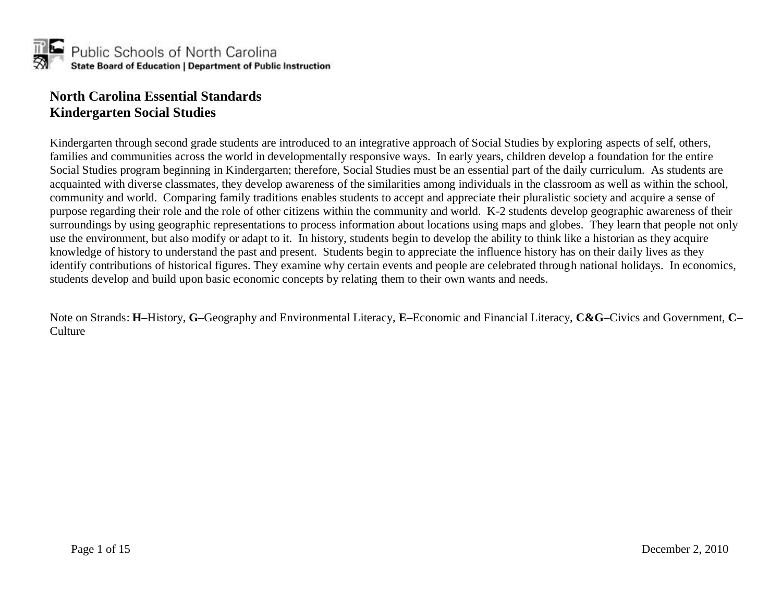

#### **North Carolina Essential Standards Kindergarten Social Studies**

Kindergarten through second grade students are introduced to an integrative approach of Social Studies by exploring aspects of self, others, families and communities across the world in developmentally responsive ways. In early years, children develop a foundation for the entire Social Studies program beginning in Kindergarten; therefore, Social Studies must be an essential part of the daily curriculum. As students are acquainted with diverse classmates, they develop awareness of the similarities among individuals in the classroom as well as within the school, community and world. Comparing family traditions enables students to accept and appreciate their pluralistic society and acquire a sense of purpose regarding their role and the role of other citizens within the community and world. K-2 students develop geographic awareness of their surroundings by using geographic representations to process information about locations using maps and globes. They learn that people not only use the environment, but also modify or adapt to it. In history, students begin to develop the ability to think like a historian as they acquire knowledge of history to understand the past and present. Students begin to appreciate the influence history has on their daily lives as they identify contributions of historical figures. They examine why certain events and people are celebrated through national holidays. In economics, students develop and build upon basic economic concepts by relating them to their own wants and needs.

Note on Strands: **H–**History, **G–**Geography and Environmental Literacy, **E–**Economic and Financial Literacy, **C&G–**Civics and Government, **C– Culture**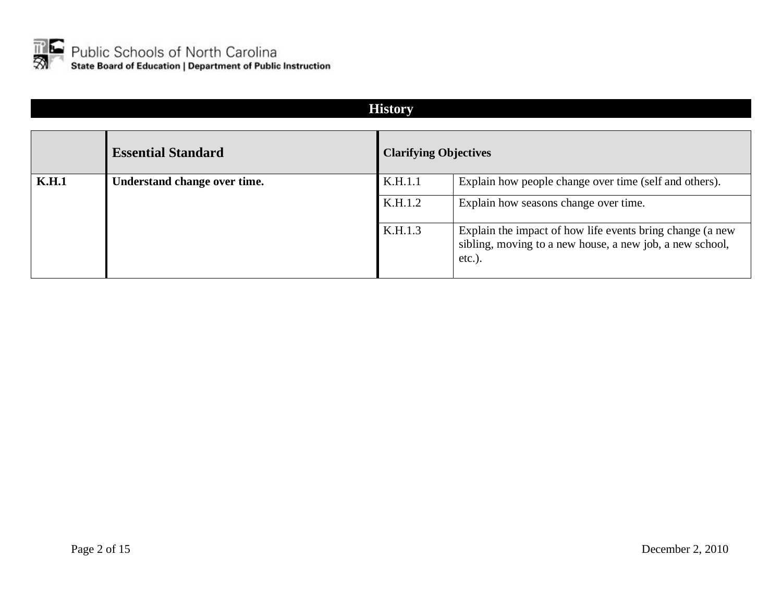

#### **History**

|       | <b>Essential Standard</b>    | <b>Clarifying Objectives</b> |                                                                                                                                    |
|-------|------------------------------|------------------------------|------------------------------------------------------------------------------------------------------------------------------------|
| K.H.1 | Understand change over time. | K.H.1.1                      | Explain how people change over time (self and others).                                                                             |
|       |                              | K.H.1.2                      | Explain how seasons change over time.                                                                                              |
|       |                              | K.H.1.3                      | Explain the impact of how life events bring change (a new<br>sibling, moving to a new house, a new job, a new school,<br>$etc.$ ). |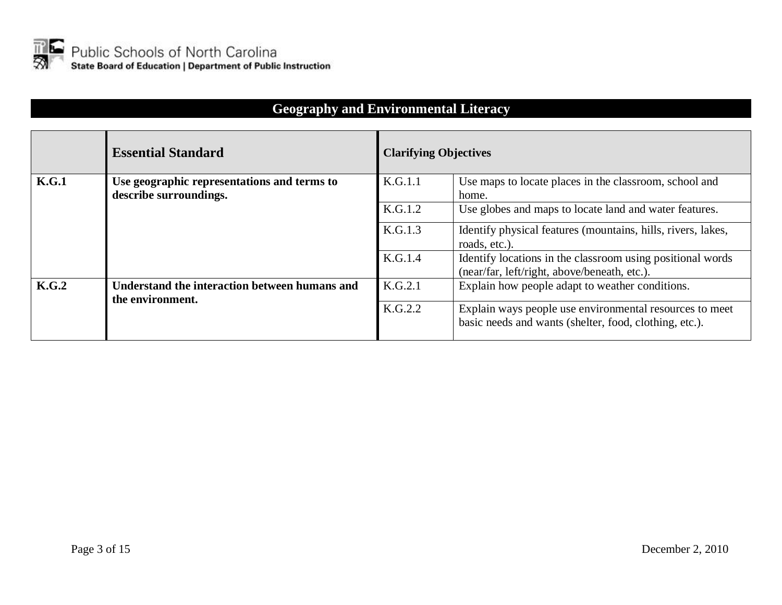

#### **Geography and Environmental Literacy**

|       | <b>Essential Standard</b>                     | <b>Clarifying Objectives</b> |                                                              |
|-------|-----------------------------------------------|------------------------------|--------------------------------------------------------------|
| K.G.1 | Use geographic representations and terms to   | K.G.1.1                      | Use maps to locate places in the classroom, school and       |
|       | describe surroundings.                        |                              | home.                                                        |
|       |                                               | K.G.1.2                      | Use globes and maps to locate land and water features.       |
|       |                                               | K.G.1.3                      | Identify physical features (mountains, hills, rivers, lakes, |
|       |                                               |                              | roads, etc.).                                                |
|       |                                               | K.G.1.4                      | Identify locations in the classroom using positional words   |
|       |                                               |                              | (near/far, left/right, above/beneath, etc.).                 |
| K.G.2 | Understand the interaction between humans and | K.G.2.1                      | Explain how people adapt to weather conditions.              |
|       | the environment.                              | K.G.2.2                      |                                                              |
|       |                                               |                              | Explain ways people use environmental resources to meet      |
|       |                                               |                              | basic needs and wants (shelter, food, clothing, etc.).       |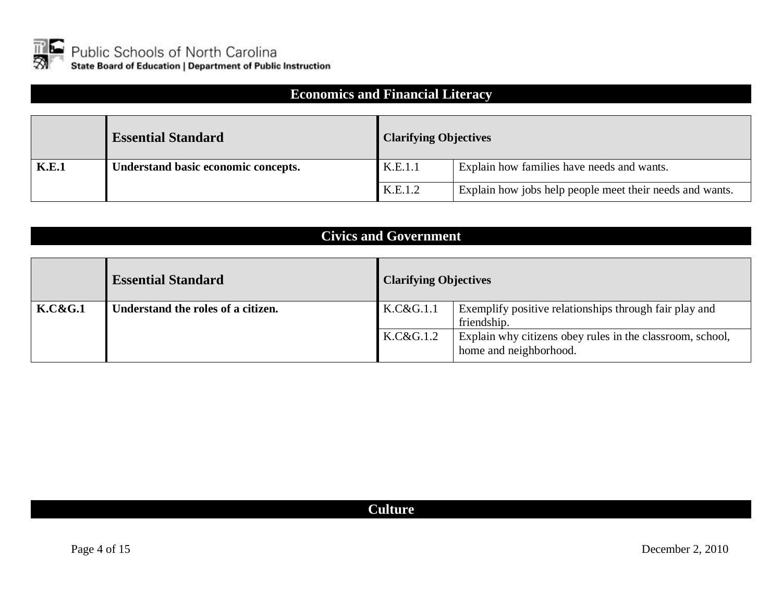

#### **Economics and Financial Literacy**

|       | <b>Essential Standard</b>           | <b>Clarifying Objectives</b> |                                                          |
|-------|-------------------------------------|------------------------------|----------------------------------------------------------|
| K.E.1 | Understand basic economic concepts. | K.E.1.1                      | Explain how families have needs and wants.               |
|       |                                     | K.E.1.2                      | Explain how jobs help people meet their needs and wants. |

#### **Civics and Government**

|                    | <b>Essential Standard</b>          | <b>Clarifying Objectives</b> |                                                                                     |
|--------------------|------------------------------------|------------------------------|-------------------------------------------------------------------------------------|
| <b>K.C&amp;G.1</b> | Understand the roles of a citizen. | K.C&G.1.1                    | Exemplify positive relationships through fair play and<br>friendship.               |
|                    |                                    | K.C&G.1.2                    | Explain why citizens obey rules in the classroom, school,<br>home and neighborhood. |

#### **Culture**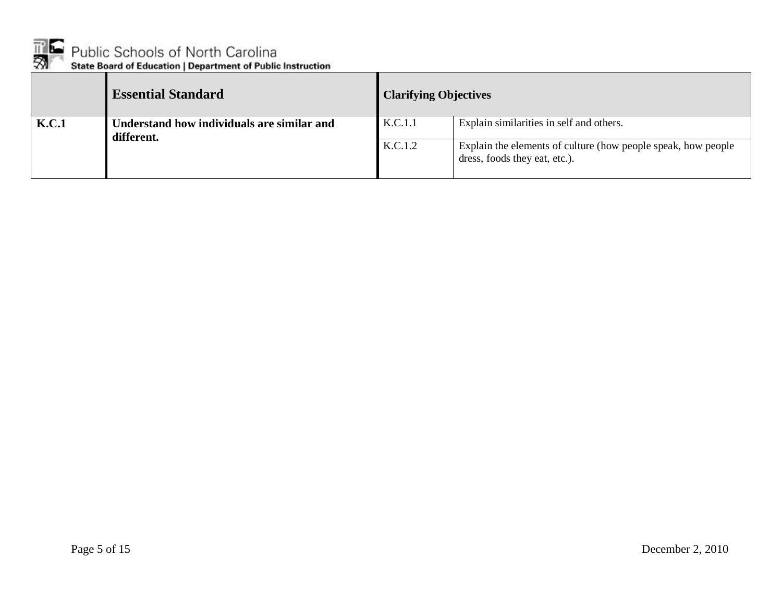

|       | <b>Essential Standard</b>                                | <b>Clarifying Objectives</b> |                                                                                                |
|-------|----------------------------------------------------------|------------------------------|------------------------------------------------------------------------------------------------|
| K.C.1 | Understand how individuals are similar and<br>different. | K.C.1.1                      | Explain similarities in self and others.                                                       |
|       |                                                          | K.C.1.2                      | Explain the elements of culture (how people speak, how people<br>dress, foods they eat, etc.). |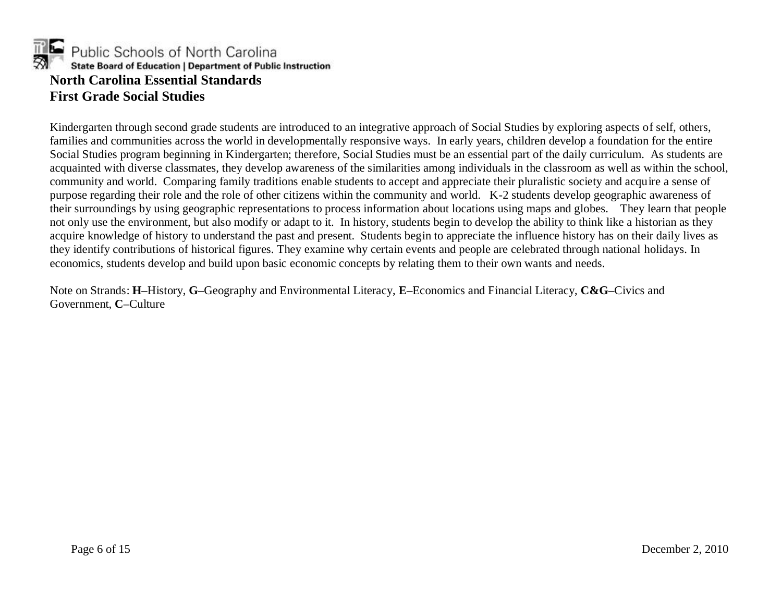

Kindergarten through second grade students are introduced to an integrative approach of Social Studies by exploring aspects of self, others, families and communities across the world in developmentally responsive ways. In early years, children develop a foundation for the entire Social Studies program beginning in Kindergarten; therefore, Social Studies must be an essential part of the daily curriculum. As students are acquainted with diverse classmates, they develop awareness of the similarities among individuals in the classroom as well as within the school, community and world. Comparing family traditions enable students to accept and appreciate their pluralistic society and acquire a sense of purpose regarding their role and the role of other citizens within the community and world. K-2 students develop geographic awareness of their surroundings by using geographic representations to process information about locations using maps and globes. They learn that people not only use the environment, but also modify or adapt to it. In history, students begin to develop the ability to think like a historian as they acquire knowledge of history to understand the past and present. Students begin to appreciate the influence history has on their daily lives as they identify contributions of historical figures. They examine why certain events and people are celebrated through national holidays. In economics, students develop and build upon basic economic concepts by relating them to their own wants and needs.

Note on Strands: **H–**History, **G–**Geography and Environmental Literacy, **E–**Economics and Financial Literacy, **C&G–**Civics and Government, **C–**Culture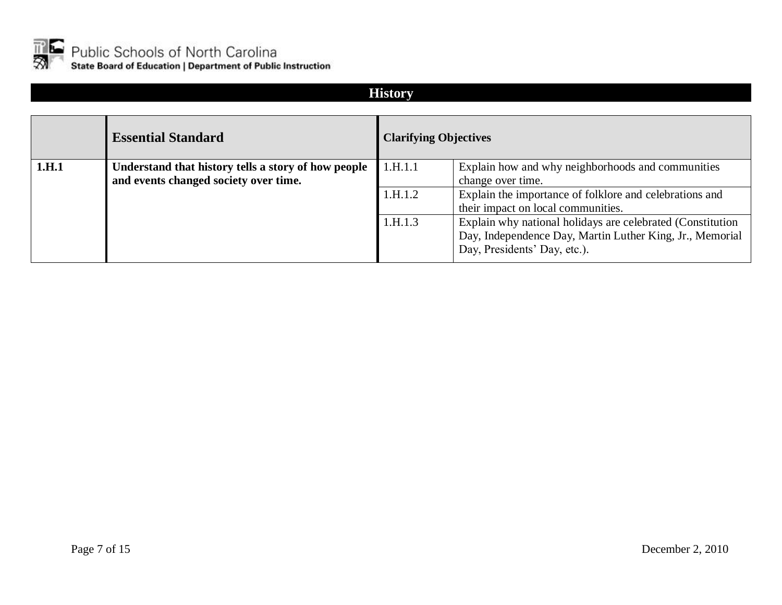

#### **History**

|       | <b>Essential Standard</b>                                                                    | <b>Clarifying Objectives</b> |                                                                                                                                                                                              |
|-------|----------------------------------------------------------------------------------------------|------------------------------|----------------------------------------------------------------------------------------------------------------------------------------------------------------------------------------------|
| 1.H.1 | Understand that history tells a story of how people<br>and events changed society over time. | 1.H.1.1<br>1.H.1.2           | Explain how and why neighborhoods and communities<br>change over time.<br>Explain the importance of folklore and celebrations and                                                            |
|       |                                                                                              | 1.H.1.3                      | their impact on local communities.<br>Explain why national holidays are celebrated (Constitution<br>Day, Independence Day, Martin Luther King, Jr., Memorial<br>Day, Presidents' Day, etc.). |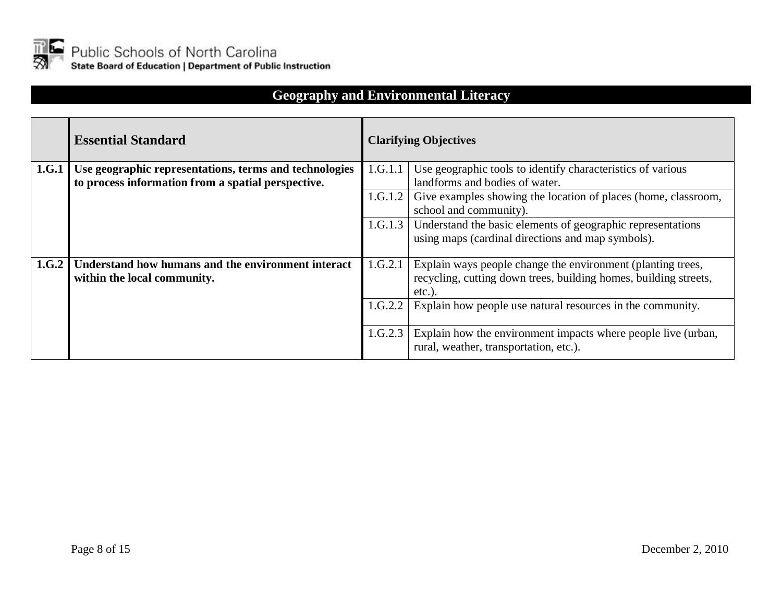

# **Geography and Environmental Literacy**

|       | <b>Essential Standard</b>                              | <b>Clarifying Objectives</b> |                                                                  |  |
|-------|--------------------------------------------------------|------------------------------|------------------------------------------------------------------|--|
| 1.G.1 | Use geographic representations, terms and technologies | 1.G.1.1                      | Use geographic tools to identify characteristics of various      |  |
|       | to process information from a spatial perspective.     |                              | landforms and bodies of water.                                   |  |
|       |                                                        | 1.G.1.2                      | Give examples showing the location of places (home, classroom,   |  |
|       |                                                        |                              | school and community).                                           |  |
|       |                                                        | 1.G.1.3                      | Understand the basic elements of geographic representations      |  |
|       |                                                        |                              | using maps (cardinal directions and map symbols).                |  |
|       |                                                        |                              |                                                                  |  |
| 1.G.2 | Understand how humans and the environment interact     | 1.G.2.1                      | Explain ways people change the environment (planting trees,      |  |
|       | within the local community.                            |                              | recycling, cutting down trees, building homes, building streets, |  |
|       |                                                        |                              | $etc.$ ).                                                        |  |
|       |                                                        | 1.G.2.2                      | Explain how people use natural resources in the community.       |  |
|       |                                                        |                              |                                                                  |  |
|       |                                                        | 1.G.2.3                      | Explain how the environment impacts where people live (urban,    |  |
|       |                                                        |                              | rural, weather, transportation, etc.).                           |  |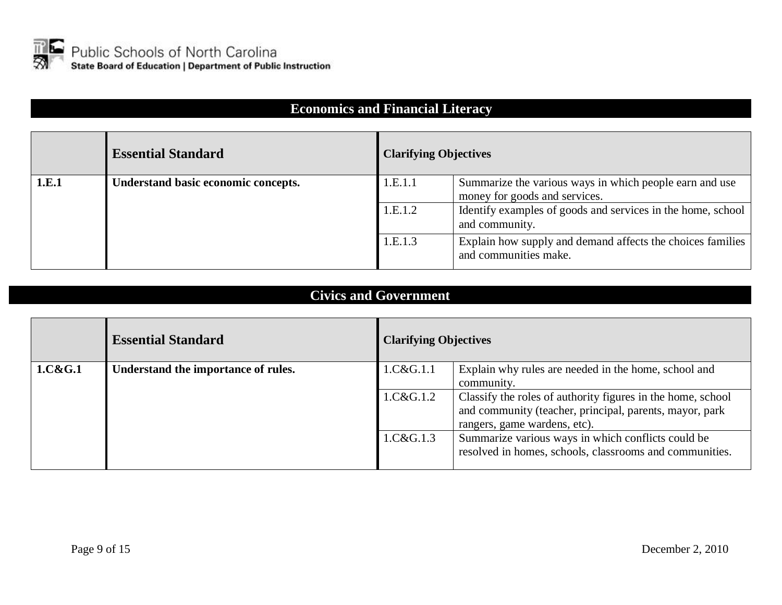

#### **Economics and Financial Literacy**

|       | <b>Essential Standard</b>           | <b>Clarifying Objectives</b> |                                                                                          |
|-------|-------------------------------------|------------------------------|------------------------------------------------------------------------------------------|
| 1.E.1 | Understand basic economic concepts. | 1.E.1.1                      | Summarize the various ways in which people earn and use<br>money for goods and services. |
|       |                                     | 1.E.1.2                      | Identify examples of goods and services in the home, school<br>and community.            |
|       |                                     | 1.E.1.3                      | Explain how supply and demand affects the choices families<br>and communities make.      |

#### **Civics and Government**

|         | <b>Essential Standard</b>           | <b>Clarifying Objectives</b> |                                                             |
|---------|-------------------------------------|------------------------------|-------------------------------------------------------------|
| 1.C&G.1 | Understand the importance of rules. | 1.C&G.1.1                    | Explain why rules are needed in the home, school and        |
|         |                                     |                              | community.                                                  |
|         |                                     | 1.C&G.1.2                    | Classify the roles of authority figures in the home, school |
|         |                                     |                              | and community (teacher, principal, parents, mayor, park     |
|         |                                     |                              | rangers, game wardens, etc).                                |
|         |                                     | 1.C&G.1.3                    | Summarize various ways in which conflicts could be          |
|         |                                     |                              | resolved in homes, schools, classrooms and communities.     |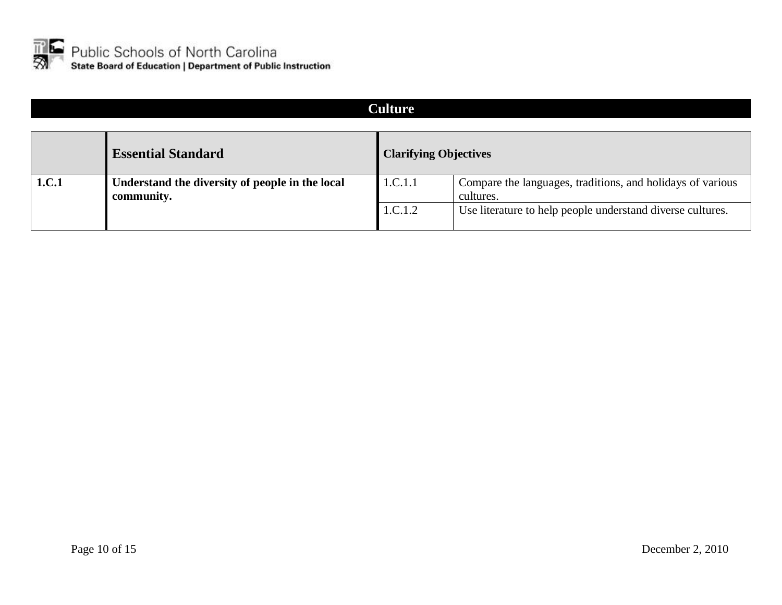

# **Culture Essential Standard Clarifying Objectives 1.C.1 Understand the diversity of people in the local community.**  1.C.1.1 Compare the languages, traditions, and holidays of various cultures. 1.C.1.2 Use literature to help people understand diverse cultures.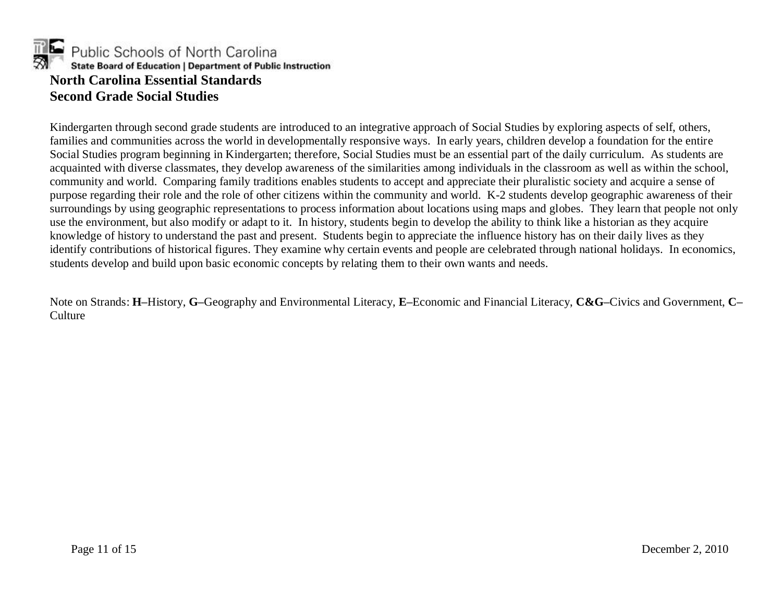

Kindergarten through second grade students are introduced to an integrative approach of Social Studies by exploring aspects of self, others, families and communities across the world in developmentally responsive ways. In early years, children develop a foundation for the entire Social Studies program beginning in Kindergarten; therefore, Social Studies must be an essential part of the daily curriculum. As students are acquainted with diverse classmates, they develop awareness of the similarities among individuals in the classroom as well as within the school, community and world. Comparing family traditions enables students to accept and appreciate their pluralistic society and acquire a sense of purpose regarding their role and the role of other citizens within the community and world. K-2 students develop geographic awareness of their surroundings by using geographic representations to process information about locations using maps and globes. They learn that people not only use the environment, but also modify or adapt to it. In history, students begin to develop the ability to think like a historian as they acquire knowledge of history to understand the past and present. Students begin to appreciate the influence history has on their daily lives as they identify contributions of historical figures. They examine why certain events and people are celebrated through national holidays. In economics, students develop and build upon basic economic concepts by relating them to their own wants and needs.

Note on Strands: **H–**History, **G–**Geography and Environmental Literacy, **E–**Economic and Financial Literacy, **C&G–**Civics and Government, **C– Culture**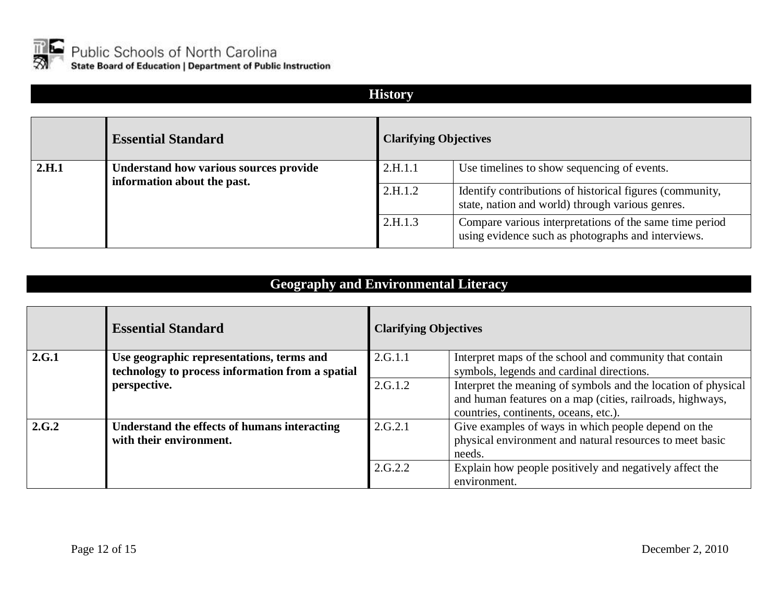

**History**

|       | <b>Essential Standard</b>                                             | <b>Clarifying Objectives</b> |                                                                                                               |
|-------|-----------------------------------------------------------------------|------------------------------|---------------------------------------------------------------------------------------------------------------|
| 2.H.1 | Understand how various sources provide<br>information about the past. | 2.H.1.1                      | Use timelines to show sequencing of events.                                                                   |
|       |                                                                       | 2.H.1.2                      | Identify contributions of historical figures (community,<br>state, nation and world) through various genres.  |
|       |                                                                       | 2.H.1.3                      | Compare various interpretations of the same time period<br>using evidence such as photographs and interviews. |

# **Geography and Environmental Literacy**

|       | <b>Essential Standard</b>                        | <b>Clarifying Objectives</b> |                                                               |
|-------|--------------------------------------------------|------------------------------|---------------------------------------------------------------|
| 2.G.1 | Use geographic representations, terms and        | 2.G.1.1                      | Interpret maps of the school and community that contain       |
|       | technology to process information from a spatial |                              | symbols, legends and cardinal directions.                     |
|       | perspective.                                     | 2.G.1.2                      | Interpret the meaning of symbols and the location of physical |
|       |                                                  |                              | and human features on a map (cities, railroads, highways,     |
|       |                                                  |                              | countries, continents, oceans, etc.).                         |
| 2.G.2 | Understand the effects of humans interacting     | 2.G.2.1                      | Give examples of ways in which people depend on the           |
|       | with their environment.                          |                              | physical environment and natural resources to meet basic      |
|       |                                                  |                              | needs.                                                        |
|       |                                                  | 2.G.2.2                      | Explain how people positively and negatively affect the       |
|       |                                                  |                              | environment.                                                  |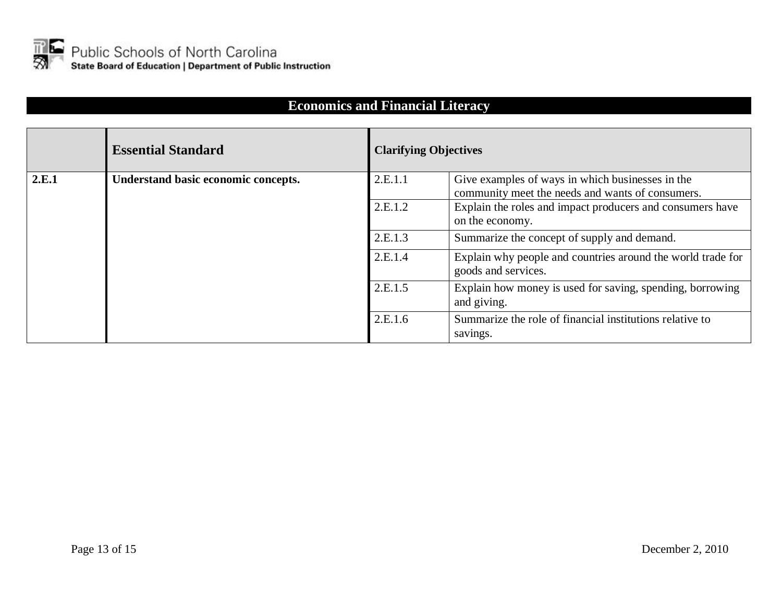

# **Economics and Financial Literacy**

|       | <b>Essential Standard</b>           | <b>Clarifying Objectives</b> |                                                                                                      |
|-------|-------------------------------------|------------------------------|------------------------------------------------------------------------------------------------------|
| 2.E.1 | Understand basic economic concepts. | 2.E.1.1                      | Give examples of ways in which businesses in the<br>community meet the needs and wants of consumers. |
|       |                                     | 2.E.1.2                      | Explain the roles and impact producers and consumers have<br>on the economy.                         |
|       |                                     | 2.E.1.3                      | Summarize the concept of supply and demand.                                                          |
|       |                                     | 2.E.1.4                      | Explain why people and countries around the world trade for<br>goods and services.                   |
|       |                                     | 2.E.1.5                      | Explain how money is used for saving, spending, borrowing<br>and giving.                             |
|       |                                     | 2.E.1.6                      | Summarize the role of financial institutions relative to<br>savings.                                 |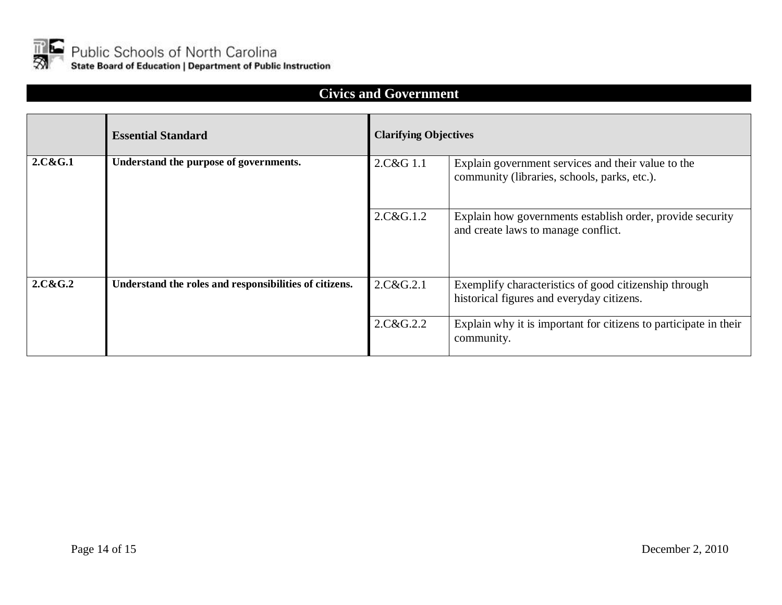

# **Civics and Government**

|         | <b>Essential Standard</b>                              | <b>Clarifying Objectives</b> |                                                                                                    |
|---------|--------------------------------------------------------|------------------------------|----------------------------------------------------------------------------------------------------|
| 2.C&G.1 | Understand the purpose of governments.                 | 2.C&G 1.1                    | Explain government services and their value to the<br>community (libraries, schools, parks, etc.). |
|         |                                                        | 2.C&G.1.2                    | Explain how governments establish order, provide security<br>and create laws to manage conflict.   |
| 2.C&G.2 | Understand the roles and responsibilities of citizens. | 2.C&G.2.1                    | Exemplify characteristics of good citizenship through<br>historical figures and everyday citizens. |
|         |                                                        | 2.C&G.2.2                    | Explain why it is important for citizens to participate in their<br>community.                     |